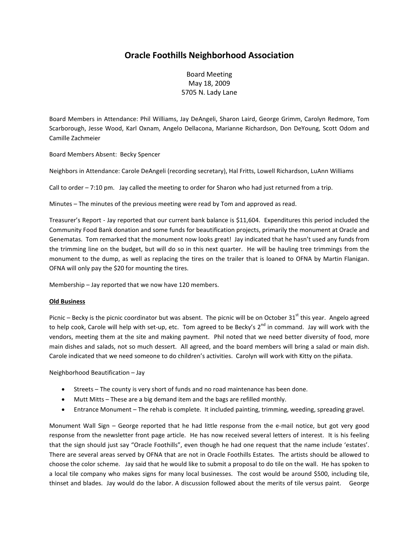## **Oracle Foothills Neighborhood Association**

Board Meeting May 18, 2009 5705 N. Lady Lane

Board Members in Attendance: Phil Williams, Jay DeAngeli, Sharon Laird, George Grimm, Carolyn Redmore, Tom Scarborough, Jesse Wood, Karl Oxnam, Angelo Dellacona, Marianne Richardson, Don DeYoung, Scott Odom and Camille Zachmeier

Board Members Absent: Becky Spencer

Neighbors in Attendance: Carole DeAngeli (recording secretary), Hal Fritts, Lowell Richardson, LuAnn Williams

Call to order – 7:10 pm. Jay called the meeting to order for Sharon who had just returned from a trip.

Minutes – The minutes of the previous meeting were read by Tom and approved as read.

Treasurer's Report - Jay reported that our current bank balance is \$11,604. Expenditures this period included the Community Food Bank donation and some funds for beautification projects, primarily the monument at Oracle and Genematas. Tom remarked that the monument now looks great! Jay indicated that he hasn't used any funds from the trimming line on the budget, but will do so in this next quarter. He will be hauling tree trimmings from the monument to the dump, as well as replacing the tires on the trailer that is loaned to OFNA by Martin Flanigan. OFNA will only pay the \$20 for mounting the tires.

Membership – Jay reported that we now have 120 members.

## **Old Business**

Picnic – Becky is the picnic coordinator but was absent. The picnic will be on October  $31^{st}$  this year. Angelo agreed to help cook, Carole will help with set-up, etc. Tom agreed to be Becky's 2<sup>nd</sup> in command. Jay will work with the vendors, meeting them at the site and making payment. Phil noted that we need better diversity of food, more main dishes and salads, not so much dessert. All agreed, and the board members will bring a salad or main dish. Carole indicated that we need someone to do children's activities. Carolyn will work with Kitty on the piñata.

Neighborhood Beautification – Jay

- Streets The county is very short of funds and no road maintenance has been done.
- Mutt Mitts These are a big demand item and the bags are refilled monthly.
- Entrance Monument The rehab is complete. It included painting, trimming, weeding, spreading gravel.

Monument Wall Sign – George reported that he had little response from the e-mail notice, but got very good response from the newsletter front page article. He has now received several letters of interest. It is his feeling that the sign should just say "Oracle Foothills", even though he had one request that the name include 'estates'. There are several areas served by OFNA that are not in Oracle Foothills Estates. The artists should be allowed to choose the color scheme. Jay said that he would like to submit a proposal to do tile on the wall. He has spoken to a local tile company who makes signs for many local businesses. The cost would be around \$500, including tile, thinset and blades. Jay would do the labor. A discussion followed about the merits of tile versus paint. George